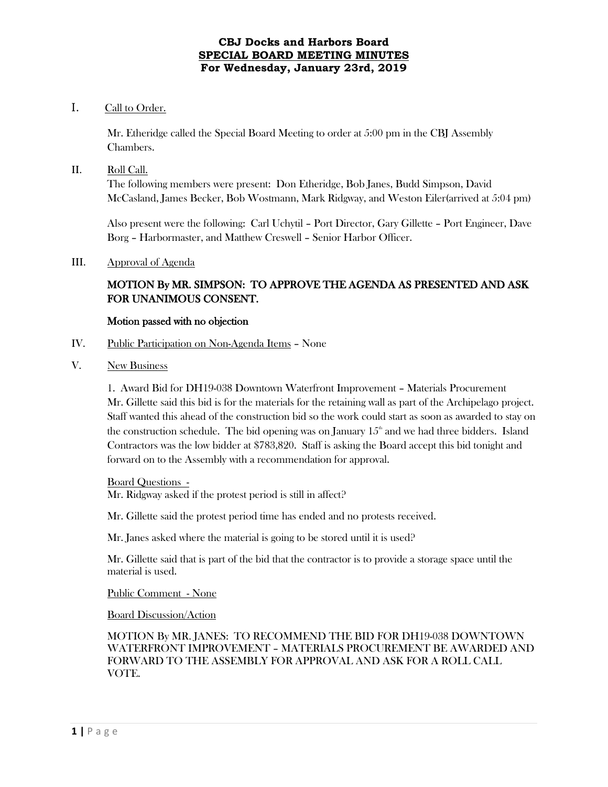## **CBJ Docks and Harbors Board SPECIAL BOARD MEETING MINUTES For Wednesday, January 23rd, 2019**

# I. Call to Order.

Mr. Etheridge called the Special Board Meeting to order at 5:00 pm in the CBJ Assembly Chambers.

## II. Roll Call.

The following members were present: Don Etheridge, Bob Janes, Budd Simpson, David McCasland, James Becker, Bob Wostmann, Mark Ridgway, and Weston Eiler(arrived at 5:04 pm)

Also present were the following: Carl Uchytil – Port Director, Gary Gillette – Port Engineer, Dave Borg – Harbormaster, and Matthew Creswell – Senior Harbor Officer.

## III. Approval of Agenda

# MOTION By MR. SIMPSON: TO APPROVE THE AGENDA AS PRESENTED AND ASK FOR UNANIMOUS CONSENT.

## Motion passed with no objection

- IV. Public Participation on Non-Agenda Items None
- V. New Business

1. Award Bid for DH19-038 Downtown Waterfront Improvement – Materials Procurement Mr. Gillette said this bid is for the materials for the retaining wall as part of the Archipelago project. Staff wanted this ahead of the construction bid so the work could start as soon as awarded to stay on the construction schedule. The bid opening was on January  $15<sup>th</sup>$  and we had three bidders. Island Contractors was the low bidder at \$783,820. Staff is asking the Board accept this bid tonight and forward on to the Assembly with a recommendation for approval.

#### Board Questions -

Mr. Ridgway asked if the protest period is still in affect?

Mr. Gillette said the protest period time has ended and no protests received.

Mr. Janes asked where the material is going to be stored until it is used?

Mr. Gillette said that is part of the bid that the contractor is to provide a storage space until the material is used.

Public Comment - None

Board Discussion/Action

MOTION By MR. JANES: TO RECOMMEND THE BID FOR DH19-038 DOWNTOWN WATERFRONT IMPROVEMENT – MATERIALS PROCUREMENT BE AWARDED AND FORWARD TO THE ASSEMBLY FOR APPROVAL AND ASK FOR A ROLL CALL VOTE.